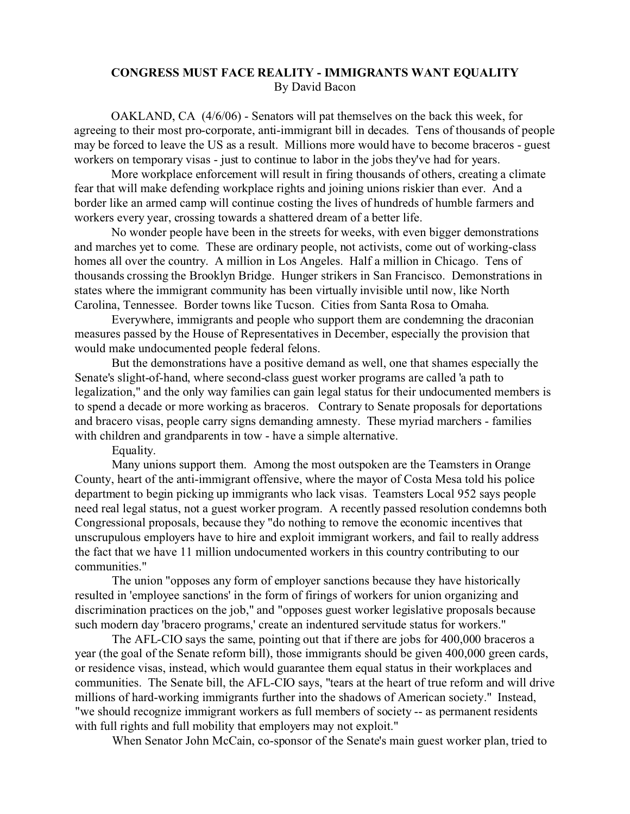## **CONGRESS MUST FACE REALITY - IMMIGRANTS WANT EQUALITY** By David Bacon

OAKLAND, CA (4/6/06) - Senators will pat themselves on the back this week, for agreeing to their most pro-corporate, anti-immigrant bill in decades. Tens of thousands of people may be forced to leave the US as a result. Millions more would have to become braceros - guest workers on temporary visas - just to continue to labor in the jobs they've had for years.

More workplace enforcement will result in firing thousands of others, creating a climate fear that will make defending workplace rights and joining unions riskier than ever. And a border like an armed camp will continue costing the lives of hundreds of humble farmers and workers every year, crossing towards a shattered dream of a better life.

No wonder people have been in the streets for weeks, with even bigger demonstrations and marches yet to come. These are ordinary people, not activists, come out of working-class homes all over the country. A million in Los Angeles. Half a million in Chicago. Tens of thousands crossing the Brooklyn Bridge. Hunger strikers in San Francisco. Demonstrations in states where the immigrant community has been virtually invisible until now, like North Carolina, Tennessee. Border towns like Tucson. Cities from Santa Rosa to Omaha.

Everywhere, immigrants and people who support them are condemning the draconian measures passed by the House of Representatives in December, especially the provision that would make undocumented people federal felons.

But the demonstrations have a positive demand as well, one that shames especially the Senate's slight-of-hand, where second-class guest worker programs are called 'a path to legalization," and the only way families can gain legal status for their undocumented members is to spend a decade or more working as braceros. Contrary to Senate proposals for deportations and bracero visas, people carry signs demanding amnesty. These myriad marchers - families with children and grandparents in tow - have a simple alternative.

Equality.

Many unions support them. Among the most outspoken are the Teamsters in Orange County, heart of the anti-immigrant offensive, where the mayor of Costa Mesa told his police department to begin picking up immigrants who lack visas. Teamsters Local 952 says people need real legal status, not a guest worker program. A recently passed resolution condemns both Congressional proposals, because they "do nothing to remove the economic incentives that unscrupulous employers have to hire and exploit immigrant workers, and fail to really address the fact that we have 11 million undocumented workers in this country contributing to our communities."

The union "opposes any form of employer sanctions because they have historically resulted in 'employee sanctions' in the form of firings of workers for union organizing and discrimination practices on the job," and "opposes guest worker legislative proposals because such modern day 'bracero programs,' create an indentured servitude status for workers."

The AFL-CIO says the same, pointing out that if there are jobs for 400,000 braceros a year (the goal of the Senate reform bill), those immigrants should be given 400,000 green cards, or residence visas, instead, which would guarantee them equal status in their workplaces and communities. The Senate bill, the AFL-CIO says, "tears at the heart of true reform and will drive millions of hard-working immigrants further into the shadows of American society." Instead, "we should recognize immigrant workers as full members of society -- as permanent residents with full rights and full mobility that employers may not exploit."

When Senator John McCain, co-sponsor of the Senate's main guest worker plan, tried to